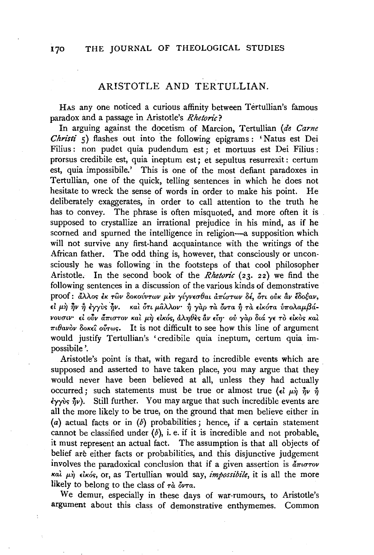## ARISTOTLE AND TERTULLIAN.

HAS any one noticed a curious affinity between Tertullian's famous paradox and a passage in Aristotle's Rhetoric?

In arguing against the docetism of Marcion, Tertullian (de Carne Christi 5) flashes out into the following epigrams: 'Natus est Dei Filius: non pudet quia pudendum est; et mortuus est Dei Filius: prorsus credibile est, quia ineptum est; et sepultus resurrexit : certum est, quia impossibile.' This is one of the most defiant paradoxes in Tertullian, one of the quick, telling sentences in which he does not hesitate to wreck the sense of words in order to make his point. He deliberately exaggerates, in order to call attention to the truth he has to convey. The phrase is often misquoted, and more often it is supposed to crystallize an irrational prejudice in his mind, as if he scorned and spurned the intelligence in religion—a supposition which will not survive any first-hand acquaintance with the writings of the African father. The odd thing is, however, that consciously or unconsciously he was following in the footsteps of that cool philosopher Aristotle. In the second book of the *Rhetoric*  $(23, 22)$  we find the following sentences in a discussion of the various kinds of demonstrative proof: άλλος έκ των δοκούντων μεν γίγνεσθαι απίστων δέ, ότι ούκ αν έδοξαν, εί μη ήν ή έγγυς ήν. και ότι μάλλον ή γαρ τα όντα ή τα εικότα υπολαμβάνουσιν· εί ούν άπιστον και μη εικός, άληθες αν είη· ού γαρ διά γε το εικός και  $\pi \iota \theta$ avov δοκεί ούτως. It is not difficult to see how this line of argument would justify Tertullian's 'credibile quia ineptum, certum quia impossibile'.

Aristotle's point is that, with regard to incredible events which are supposed and asserted to have taken place, you may argue that they would never have been believed at all, unless they had actually occurred; such statements must be true or almost true ( $\epsilon \hat{i} \mu \hat{\eta} \hat{\eta} \nu \hat{\eta}$ )  $\langle \psi \rangle$   $\langle \psi \rangle$ . Still further. You may argue that such incredible events are all the more likely to be true, on the ground that men believe either in (a) actual facts or in  $(b)$  probabilities; hence, if a certain statement cannot be classified under  $(b)$ , i. e. if it is incredible and not probable, it must represent an actual fact. The assumption is that all objects of belief are either facts or probabilities, and this disjunctive judgement involves the paradoxical conclusion that if a given assertion is  $d\pi\omega\tau\omega$ και μη είκός, or, as Tertullian would say, *impossibile*, it is all the more likely to belong to the class of  $\tau \dot{\alpha}$  over.

We demur, especially in these days of war-rumours, to Aristotle's argument about this class of demonstrative enthymemes. Common